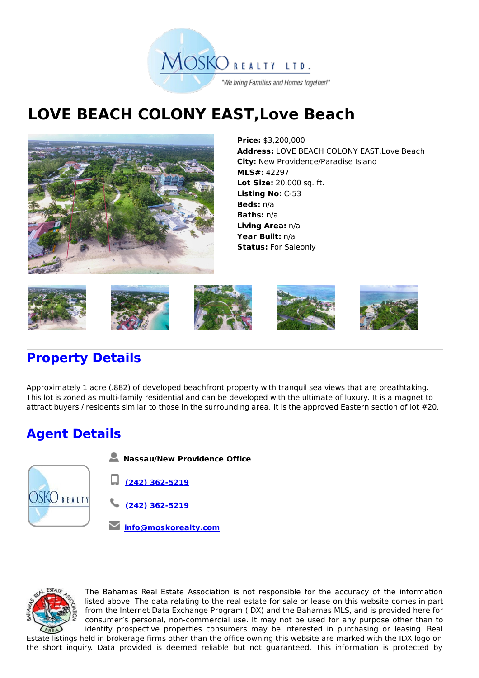

## **LOVE BEACH COLONY EAST,Love Beach**



**Price:** \$3,200,000 **Address:** LOVE BEACH COLONY EAST,Love Beach **City:** New Providence/Paradise Island **MLS#:** 42297 **Lot Size:** 20,000 sq. ft. **Listing No:** C-53 **Beds:** n/a **Baths:** n/a **Living Area:** n/a **Year Built:** n/a **Status:** For Saleonly



## **Property Details**

Approximately 1 acre (.882) of developed beachfront property with tranquil sea views that are breathtaking. This lot is zoned as multi-family residential and can be developed with the ultimate of luxury. It is a magnet to attract buyers / residents similar to those in the surrounding area. It is the approved Eastern section of lot #20.

## **Agent Details**





The Bahamas Real Estate Association is not responsible for the accuracy of the information listed above. The data relating to the real estate for sale or lease on this website comes in part from the Internet Data Exchange Program (IDX) and the Bahamas MLS, and is provided here for consumer's personal, non-commercial use. It may not be used for any purpose other than to identify prospective properties consumers may be interested in purchasing or leasing. Real

Estate listings held in brokerage firms other than the office owning this website are marked with the IDX logo on the short inquiry. Data provided is deemed reliable but not guaranteed. This information is protected by